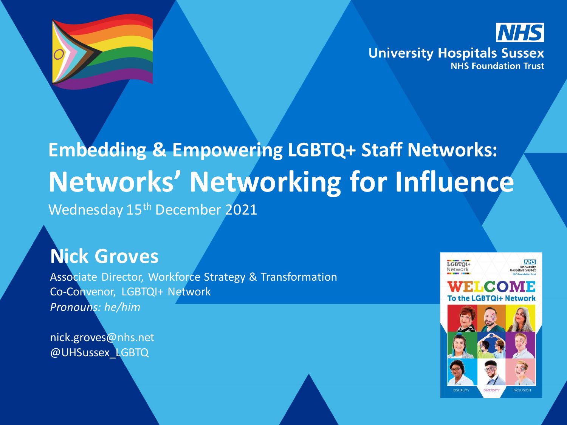

# **Embedding & Empowering LGBTQ+ Staff Networks: Networks' Networking for Influence**

Wednesday 15<sup>th</sup> December 2021

### **Nick Groves**

Associate Director, Workforce Strategy & Transformation Co-Convenor, LGBTQI+ Network *Pronouns: he/him*

nick.groves@nhs.net @UHSussex\_LGBTQ

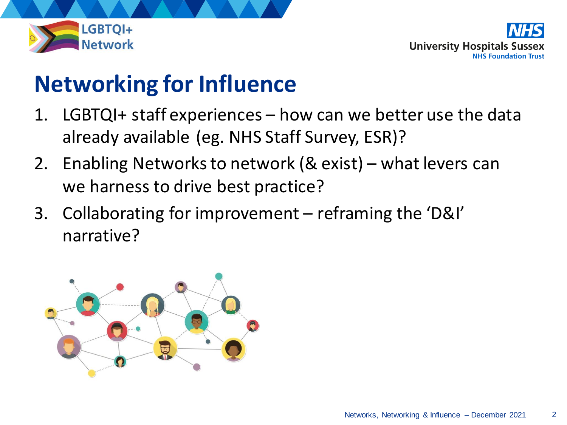

### **Networking for Influence**

- 1. LGBTQI+ staff experiences how can we better use the data already available (eg. NHS Staff Survey, ESR)?
- 2. Enabling Networks to network (& exist) what levers can we harness to drive best practice?
- 3. Collaborating for improvement reframing the 'D&I' narrative?

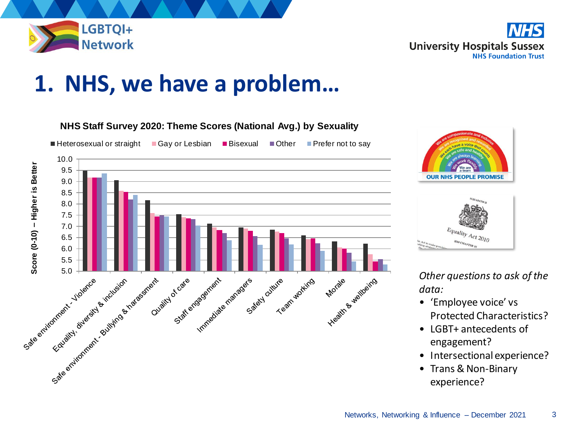

**University Hospitals Sussex NHS Foundation Trust** 

### **1. NHS, we have a problem…**







*Other questions to ask of the data:*

- 'Employee voice' vs Protected Characteristics?
- LGBT+ antecedents of engagement?
- Intersectional experience?
- Trans & Non-Binary experience?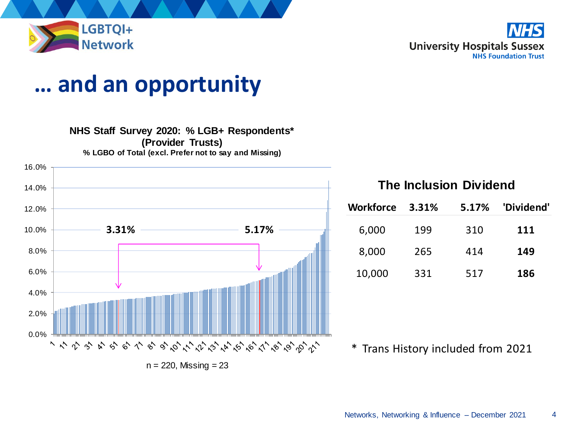

### **… and an opportunity**

#### **NHS Staff Survey 2020: % LGB+ Respondents\***

**(Provider Trusts)**

**% LGBO of Total (excl. Prefer not to say and Missing)**



#### **The Inclusion Dividend**

| <b>Workforce</b> | 3.31% | 5.17% | 'Dividend' |
|------------------|-------|-------|------------|
| 6,000            | 199   | 310   | 111        |
| 8,000            | 265   | 414   | 149        |
| 10,000           | 331   | 517   | 186        |

<sup>\*</sup> Trans History included from 2021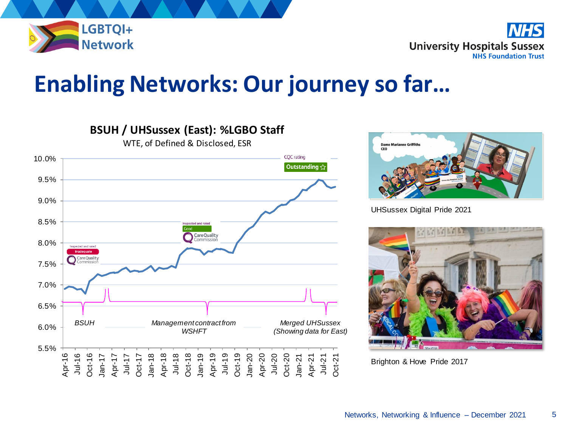

**NHS University Hospitals Sussex NHS Foundation Trust** 

### **Enabling Networks: Our journey so far…**





UHSussex Digital Pride 2021



Brighton & Hove Pride 2017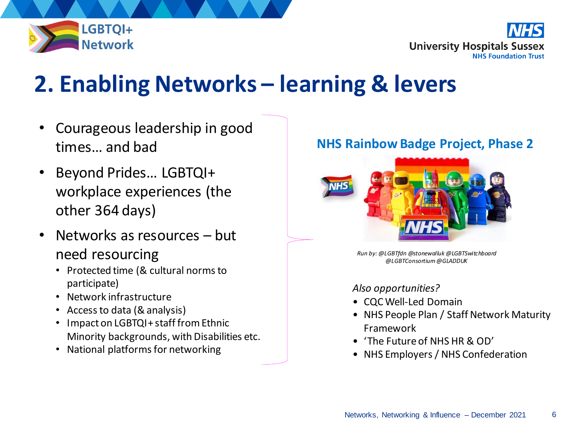

**University Hospitals Sussex NHS Foundation Trust** 

### **2. Enabling Networks – learning & levers**

- Courageous leadership in good times… and bad
- Beyond Prides... LGBTQI+ workplace experiences (the other 364 days)
- Networks as resources but need resourcing
	- Protected time (& cultural norms to participate)
	- Network infrastructure
	- Access to data (& analysis)
	- Impact on LGBTQI+ staff from Ethnic Minority backgrounds, with Disabilities etc.
	- National platforms for networking

#### **NHS Rainbow Badge Project, Phase 2**



*Run by: @LGBTfdn @stonewalluk @LGBTSwitchboard @LGBTConsortium@GLADDUK*

#### *Also opportunities?*

- CQC Well-Led Domain
- NHS People Plan / Staff Network Maturity Framework
- 'The Future of NHS HR & OD'
- NHS Employers / NHS Confederation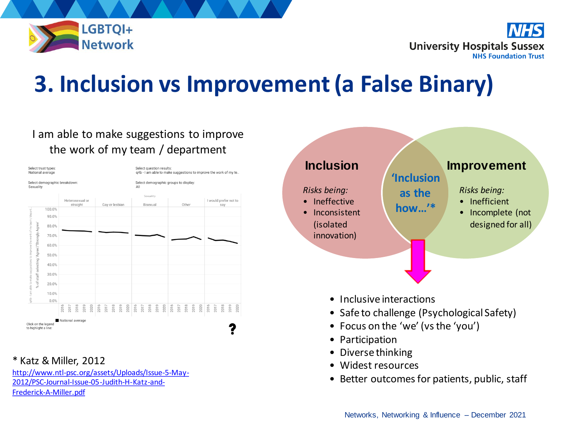

**University Hospitals Sussex NHS Foundation Trust** 

## **3. Inclusion vs Improvement (a False Binary)**

#### I am able to make suggestions to improve the work of my team / department



#### \* Katz & Miller, 2012

[http://www.ntl-psc.org/assets/Uploads/Issue-5-May-](http://www.ntl-psc.org/assets/Uploads/Issue-5-May-2012/PSC-Journal-Issue-05-Judith-H-Katz-and-Frederick-A-Miller.pdf)2012/PSC-Journal-Issue-05-Judith-H-Katz-and-Frederick-A-Miller.pdf